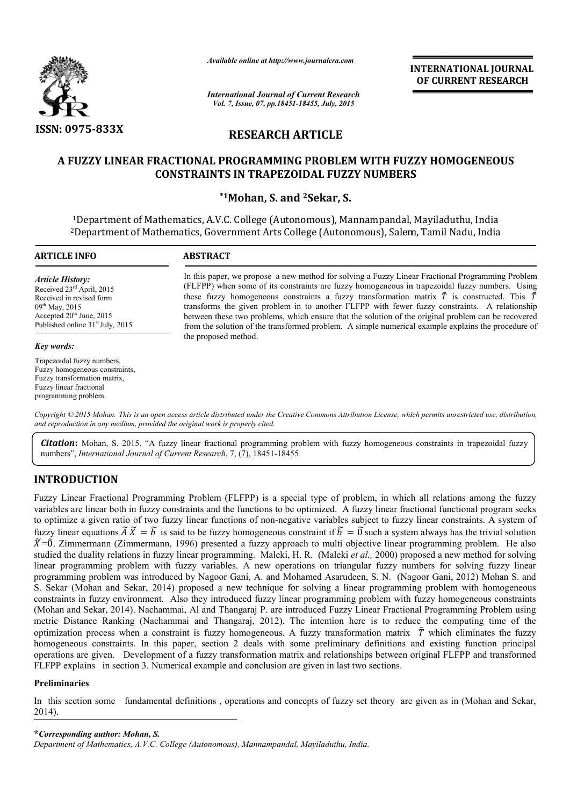

*Available online at http://www.journalcra.com*

**INTERNATIONAL INTERNATIONAL JOURNAL OF CURRENT RESEARCH** 

*International Journal of Current Research Vol. 7, Issue, 07, pp.18451-18455, July, 2015*

# **RESEARCH ARTICLE**

# **A FUZZY LINEAR FRACTIONAL PROGRAMMING PROBLEM WITH FUZZY HOMOGENEOUS CONSTRAINTS IN TRAPEZOIDAL FUZZY NUMBERS TRAPEZOIDAL FUZZY**

# **\*1Mohan, S. and 2Sekar, S.**

<sup>1</sup>Department of Mathematics, A.V.C. College (Autonomous), Mannampandal, Mayiladuthu, India 2Department of Mathematics, Government Arts College (Autonomous), Salem, Tamil Nadu, India

| <b>ARTICLE INFO</b>                                                                                                                                                                                             | <b>ABSTRACT</b>                                                                                                                                                                                                                                                                                                                                                                                                                                                                                                                                                                                                                                            |  |  |  |  |
|-----------------------------------------------------------------------------------------------------------------------------------------------------------------------------------------------------------------|------------------------------------------------------------------------------------------------------------------------------------------------------------------------------------------------------------------------------------------------------------------------------------------------------------------------------------------------------------------------------------------------------------------------------------------------------------------------------------------------------------------------------------------------------------------------------------------------------------------------------------------------------------|--|--|--|--|
| Article History:<br>Received 23 <sup>rd</sup> April, 2015<br>Received in revised form<br>$09^{\text{th}}$ May, 2015<br>Accepted $20th$ June, 2015<br>Published online 31 <sup>st</sup> July, 2015<br>Key words: | In this paper, we propose a new method for solving a Fuzzy Linear Fractional Programming Problem<br>(FLFPP) when some of its constraints are fuzzy homogeneous in trapezoidal fuzzy numbers. Using<br>these fuzzy homogeneous constraints a fuzzy transformation matrix $\tilde{T}$ is constructed. This $\tilde{T}$<br>transforms the given problem in to another FLFPP with fewer fuzzy constraints. A relationship<br>between these two problems, which ensure that the solution of the original problem can be recovered<br>from the solution of the transformed problem. A simple numerical example explains the procedure of<br>the proposed method. |  |  |  |  |
| Trapezoidal fuzzy numbers,<br>Fuzzy homogeneous constraints,<br>Fuzzy transformation matrix,<br>Fuzzy linear fractional<br>programming problem.                                                                 |                                                                                                                                                                                                                                                                                                                                                                                                                                                                                                                                                                                                                                                            |  |  |  |  |

Copyright © 2015 Mohan. This is an open access article distributed under the Creative Commons Attribution License, which permits unrestricted use, distribution, *and reproduction in any medium, provided the original work is properly cited.*

Citation: Mohan, S. 2015. "A fuzzy linear fractional programming problem with fuzzy homogeneous constraints in trapezoidal fuzzy numbers", *International Journal of Current Research*, 7, (7), 18451-18455.

# **INTRODUCTION**

Fuzzy Linear Fractional Programming Problem (FLFPP) is a special type of problem, in which all relations among the fuzzy Fuzzy Linear Fractional Programming Problem (FLFPP) is a special type of problem, in which all relations among the fuzzy<br>variables are linear both in fuzzy constraints and the functions to be optimized. A fuzzy linear frac to optimize a given ratio of two fuzzy linear functions of non-negative variables subject to fuzzy linear constraints. A system of fuzzy linear equations  $\tilde{A} \tilde{X} = \tilde{b}$  is said to be fuzzy homogeneous constraint if  $\tilde{b} = \tilde{0}$  such a system always has the trivial solution  $\tilde{X} = \tilde{0}$ . Zimmermann (Zimmermann, 1996) presented a fuzzy approach to multi objective linear programming problem. He also studied the duality relations in fuzzy linear programming. Maleki, H. R. (Maleki *et al.*, 2000) proposed a new method for solving linear programming problem with fuzzy variables. A new operations on triangular fuzzy numbers for solving fuzzy linear programming problem was introduced by Nagoor Gani, A. and Mohamed Asarudeen, S. N. (Nagoor Gani, 2012) S. Sekar (Mohan and Sekar, 2014) proposed a new technique for solving a linear programming problem with homogeneous constraints in fuzzy environment. Also they introduced fuzzy linear programming problem with fuzzy homogeneous constraints (Mohan and Sekar, 2014). Nachammai, Al and Thangaraj P. are introduced Fuzzy Linear Fractional Programming Problem using metric Distance Ranking (Nachammai and Thangaraj, 2012). The intention here is to reduce the computing time of the S. Sekar (Mohan and Sekar, 2014) proposed a new technique for solving a linear programming problem with homogeneous constraints in fuzzy environment. Also they introduced fuzzy linear programming problem with fuzzy homoge homogeneous constraints. In this paper, section 2 deals with some preliminary definitions and existing function principal operations are given. Development of a fuzzy transformation matrix and relationships between original FLFPP and transformed FLFPP explains in section 3. Numerical example and conclusion are given in last two sections. functions of non-negative variables subject to fuzzy linear constraints. A system of uzzy homogeneous constraint if  $\tilde{b} = \tilde{0}$  such a system always has the trivial solution sented a fuzzy approach to multi objective homogeneous constraints. In this paper, section 2 deals with some preliminary definitions and existing function principal<br>operations are given. Development of a fuzzy transformation matrix and relationships between origina

### **Preliminaries**

In this section some fundamental definitions, operations and concepts of fuzzy set theory are given as in (Mohan and Sekar, 2014).

### **\****Corresponding author: Mohan, S.*

*Department of Mathematics, A.V.C. College (Autonomous), Mannampandal, Mayiladuthu, India.*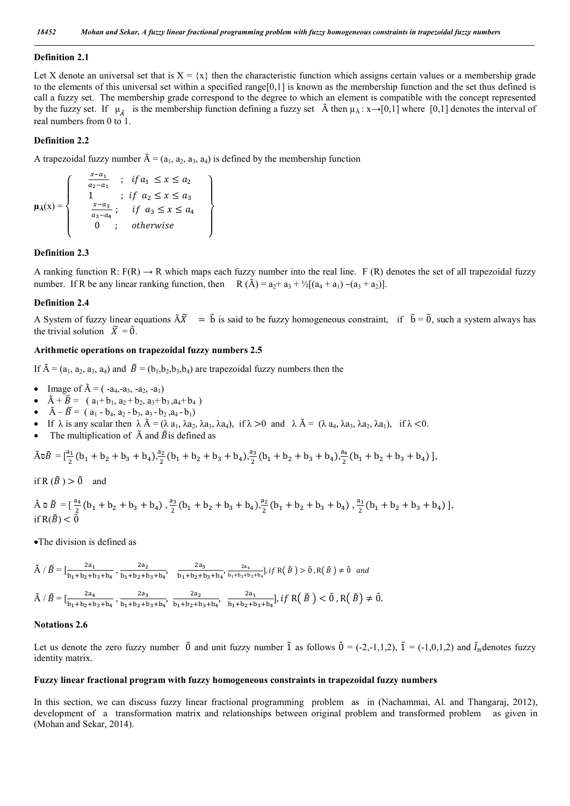#### **Definition 2.1**

Let X denote an universal set that is  $X = \{x\}$  then the characteristic function which assigns certain values or a membership grade to the elements of this universal set within a specified range[0,1] is known as the membership function and the set thus defined is call a fuzzy set. The membership grade correspond to the degree to which an element is compatible with the concept represented by the fuzzy set. If  $\mu_{\tilde{A}}$  is the membership function defining a fuzzy set  $\tilde{A}$  then  $\mu_{\tilde{A}}$ :  $x \rightarrow [0,1]$  where [0,1] denotes the interval of real numbers from 0 to 1.

## **Definition 2.2**

A trapezoidal fuzzy number  $\tilde{A} = (a_1, a_2, a_3, a_4)$  is defined by the membership function

 $\overline{a}$  $\overline{1}$ 

 $\overline{a}$  $\overline{1}$ 

$$
\mu_{\tilde{A}}(x) = \begin{cases}\n\frac{x-a_1}{a_2 - a_1} & ; \text{ if } a_1 \leq x \leq a_2 \\
1 & ; \text{ if } a_2 \leq x \leq a_3 \\
\frac{x-a_3}{a_3 - a_4} & ; \text{ if } a_3 \leq x \leq a_4 \\
0 & ; \text{ otherwise}\n\end{cases}
$$

#### **Definition 2.3**

A ranking function R:  $F(R) \rightarrow R$  which maps each fuzzy number into the real line. F (R) denotes the set of all trapezoidal fuzzy number. If R be any linear ranking function, then  $R(\tilde{A}) = a_2 + a_3 + \frac{1}{2}[(a_4 + a_1) - (a_3 + a_2)].$ 

#### **Definition 2.4**

A System of fuzzy linear equations  $\tilde{A}\tilde{X} = \tilde{b}$  is said to be fuzzy homogeneous constraint, if  $\tilde{b} = \tilde{0}$ , such a system always has the trivial solution  $\widetilde{X} = \widetilde{0}$ .

## **Arithmetic operations on trapezoidal fuzzy numbers 2.5**

If  $\tilde{A} = (a_1, a_2, a_3, a_4)$  and  $\tilde{B} = (b_1, b_2, b_3, b_4)$  are trapezoidal fuzzy numbers then the

- Image of  $\tilde{A} = (-a_4, -a_3, -a_2, -a_1)$
- $\tilde{A} + \tilde{B} = (a_1 + b_1, a_2 + b_2, a_3 + b_3, a_4 + b_4)$
- $\tilde{A} \tilde{B} = (a_1 b_4, a_2 b_3, a_3 b_2, a_4 b_1)$
- If  $\lambda$  is any scalar then  $\lambda \tilde{A} = (\lambda a_1, \lambda a_2, \lambda a_3, \lambda a_4)$ , if  $\lambda > 0$  and  $\lambda \tilde{A} = (\lambda a_4, \lambda a_3, \lambda a_2, \lambda a_1)$ , if  $\lambda < 0$ .
- The multiplication of  $\tilde{A}$  and  $\tilde{B}$  is defined as

$$
\tilde A\mathbb{d}\tilde B=[\frac{a_1}{2}(b_1+b_2+b_3+b_4),\frac{a_2}{2}(b_1+b_2+b_3+b_4),\frac{a_3}{2}(b_1+b_2+b_3+b_4),\frac{a_4}{2}(b_1+b_2+b_3+b_4)\ ],
$$

if R  $(\tilde{B}) > \tilde{0}$  and

$$
\tilde{A}\circ \tilde{B}\, =[\, \frac{a_4}{2}\,(b_1+b_2+b_3+b_4)\,,\frac{a_3}{2}\,(b_1+b_2+b_3+b_4),\frac{a_2}{2}\,(b_1+b_2+b_3+b_4)\,,\frac{a_1}{2}\,(b_1+b_2+b_3+b_4)\,],\\ {\rm if}\, R(\tilde{B})<\tilde{0}
$$

The division is defined as

$$
\tilde{A} \mid \tilde{B} = \left[\frac{2a_1}{b_1 + b_2 + b_3 + b_4}, \frac{2a_2}{b_1 + b_2 + b_3 + b_4}, \frac{2a_3}{b_1 + b_2 + b_3 + b_4}, \frac{2a_4}{b_1 + b_2 + b_3 + b_4}\right], \text{if } R(\tilde{B}) > \tilde{0}, R(\tilde{B}) \neq \tilde{0} \text{ and}
$$
\n
$$
\tilde{A} \mid \tilde{B} = \left[\frac{2a_4}{b_1 + b_2 + b_3 + b_4}, \frac{2a_3}{b_1 + b_2 + b_3 + b_4}, \frac{2a_2}{b_1 + b_2 + b_3 + b_4}, \frac{2a_1}{b_1 + b_2 + b_3 + b_4}\right], \text{if } R(\tilde{B}) < \tilde{0}, R(\tilde{B}) \neq \tilde{0}.
$$

## **Notations 2.6**

Let us denote the zero fuzzy number  $\tilde{0}$  and unit fuzzy number  $\tilde{1}$  as follows  $\tilde{0} = (-2,-1,1,2)$ ,  $\tilde{1} = (-1,0,1,2)$  and  $\tilde{I}_n$  denotes fuzzy identity matrix.

### **Fuzzy linear fractional program with fuzzy homogeneous constraints in trapezoidal fuzzy numbers**

In this section, we can discuss fuzzy linear fractional programming problem as in (Nachammai, Al. and Thangaraj, 2012), development of a transformation matrix and relationships between original problem and transformed problem as given in (Mohan and Sekar, 2014).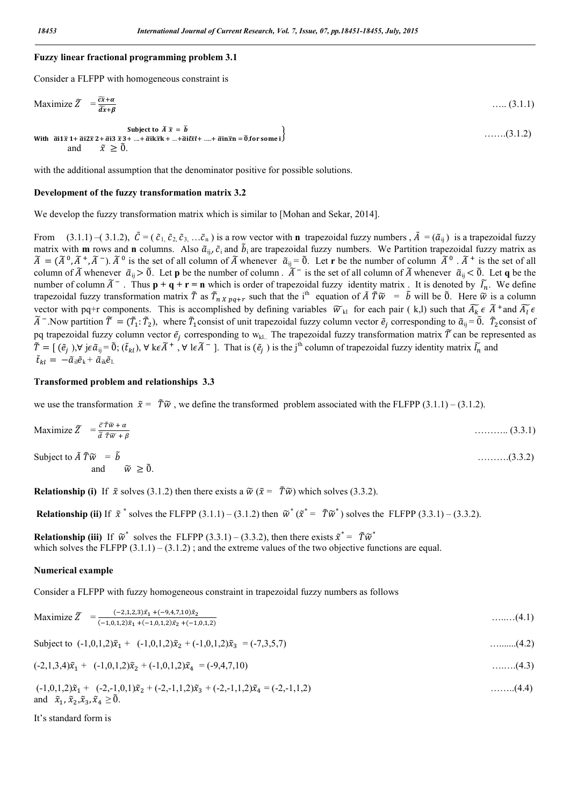## **Fuzzy linear fractional programming problem 3.1**

Consider a FLFPP with homogeneous constraint is

$$
\text{Maximize } \widetilde{Z} = \frac{\widetilde{c}\widetilde{x} + \alpha}{\widetilde{d}\widetilde{x} + \beta} \tag{3.1.1}
$$

…….(3.1.2)

Subject to  $\widetilde{A} \widetilde{x} = \widetilde{b}$ With  $\tilde{a}$ i 1 $\tilde{x}$  1+  $\tilde{a}$ i 2 $\tilde{x}$  2+  $\tilde{a}$ i 3 $\tilde{x}$  3+ ....+ $\tilde{a}$ i  $\tilde{x}$  X+ ...+ $\tilde{a}$ i  $\tilde{x}$ l+ ....+ $\tilde{a}$ i  $\tilde{x}$ i + ....+ $\tilde{a}$ i  $\tilde{x}$ i + ....+ $\tilde{a}$ i  $\tilde{x}$ n =  $\tilde{0}$ , for some i and  $\tilde{x} \geq 0$ .

with the additional assumption that the denominator positive for possible solutions.

### **Development of the fuzzy transformation matrix 3.2**

We develop the fuzzy transformation matrix which is similar to [Mohan and Sekar, 2014].

From  $(3.1.1)$  – $(3.1.2)$ ,  $\tilde{C} = (\tilde{c}_1, \tilde{c}_2, \tilde{c}_3, \ldots, \tilde{c}_n)$  is a row vector with **n** trapezoidal fuzzy numbers,  $\tilde{A} = (\tilde{a}_{ij})$  is a trapezoidal fuzzy matrix with **m** rows and **n** columns. Also  $\tilde{a}_{ii}$ ,  $\tilde{c}_i$  and  $\tilde{b}_i$  are trapezoidal fuzzy numbers. We Partition trapezoidal fuzzy matrix as  $\widetilde{A} = (\widetilde{A}^0, \widetilde{A}^+, \widetilde{A}^-)$ .  $\widetilde{A}^0$  is the set of all column of  $\widetilde{A}$  whenever  $\widetilde{a}_{ij} = \widetilde{0}$ . Let **r** be the number of column  $\widetilde{A}^0$ .  $\widetilde{A}^+$  is the set of all column of  $\tilde{A}$  whenever  $\tilde{a}_{ii} > \tilde{0}$ . Let **p** be the number of column .  $\tilde{A}^-$  is the set of all column of  $\tilde{A}$  whenever  $\tilde{a}_{ii} < \tilde{0}$ . Let **q** be the number of column  $\tilde{A}^-$ . Thus  $p + q + r = n$  which is order of trapezoidal fuzzy identity matrix. It is denoted by  $\tilde{I}_n$ . We define trapezoidal fuzzy transformation matrix  $\tilde{T}$  as  $\tilde{T}_{n\chi}$   $_{pq+r}$  such that the i<sup>th</sup> equation of  $\tilde{A}$   $\tilde{T}\tilde{w} = \tilde{b}$  will be  $\tilde{0}$ . Here  $\tilde{w}$  is a column vector with pq+r components. This is accomplished by defining variables  $\widetilde{w}_{kl}$  for each pair (k,l) such that  $\widetilde{A_k} \in \widetilde{A}^+$  and  $\widetilde{A_l} \in \widetilde{A}$  $\widetilde{A}$  <sup>-</sup>.Now partition  $\widetilde{T} = (\widetilde{T}_1 : \widetilde{T}_2)$ , where  $\widetilde{T}_1$  consist of unit trapezoidal fuzzy column vector  $\widetilde{e}_j$  corresponding to  $\widetilde{a}_{ij} = \widetilde{0}$ .  $\widetilde{T}_2$  consist of pq trapezoidal fuzzy column vector  $\tilde{e}_j$  corresponding to w<sub>kl.</sub> The trapezoidal fuzzy transformation matrix  $\tilde{T}$  can be represented as  $\tilde{T} = [(\tilde{e}_j), \forall j \in \tilde{a}_{ij} = \tilde{0}; (\tilde{t}_{kl}), \forall k \in \tilde{A}^+$ ,  $\forall l \in \tilde{A}^-$ ]. That is  $(\tilde{e}_j)$  is the j<sup>th</sup> column of trapezoidal fuzzy identity matrix  $\tilde{l}_n$  and  $\tilde{t}_{kl} = -\tilde{a}_{il}\tilde{e}_{k} + \tilde{a}_{ik}\tilde{e}_{l}$ 

### **Transformed problem and relationships 3.3**

we use the transformation  $\tilde{x} = \tilde{T}\tilde{w}$ , we define the transformed problem associated with the FLFPP (3.1.1) – (3.1.2).

$$
\text{Maximize } \widetilde{Z} = \frac{\widetilde{c}\,\widetilde{T}\,\widetilde{w} + \alpha}{\widetilde{d}\,\widetilde{T}\,\widetilde{w} + \beta} \tag{3.3.1}
$$

Subject to = ……….(3.3.2) and  $\widetilde{w} \geq \widetilde{0}$ .

**Relationship (i)** If  $\tilde{x}$  solves (3.1.2) then there exists a  $\tilde{w}$  ( $\tilde{x} = \tilde{T}\tilde{w}$ ) which solves (3.3.2).

**Relationship (ii)** If  $\tilde{x}^*$  solves the FLFPP (3.1.1) – (3.1.2) then  $\tilde{w}^*(\tilde{x}^* = \tilde{T}\tilde{w}^*)$  solves the FLFPP (3.3.1) – (3.3.2).

**Relationship (iii)** If  $\tilde{w}^*$  solves the FLFPP (3.3.1) – (3.3.2), then there exists  $\tilde{x}^* = \tilde{T}\tilde{w}^*$ which solves the FLFPP  $(3.1.1) - (3.1.2)$ ; and the extreme values of the two objective functions are equal.

### **Numerical example**

Consider a FLFPP with fuzzy homogeneous constraint in trapezoidal fuzzy numbers as follows

$$
\text{Maximize } \widetilde{Z} = \frac{(-2,1,2,3)\tilde{x}_1 + (-9,4,7,10)\tilde{x}_2}{(-1,0,1,2)\tilde{x}_1 + (-1,0,1,2)\tilde{x}_2 + (-1,0,1,2)} \tag{4.1}
$$

Subject to 
$$
(-1,0,1,2)\tilde{x}_1 + (-1,0,1,2)\tilde{x}_2 + (-1,0,1,2)\tilde{x}_3 = (-7,3,5,7)
$$
 .........(4.2)

$$
(-2,1,3,4)\tilde{x}_1 + (-1,0,1,2)\tilde{x}_2 + (-1,0,1,2)\tilde{x}_4 = (-9,4,7,10)
$$
...(4.3)

$$
(-1,0,1,2)\tilde{x}_1 + (-2,-1,0,1)\tilde{x}_2 + (-2,-1,1,2)\tilde{x}_3 + (-2,-1,1,2)\tilde{x}_4 = (-2,-1,1,2) \quad \dots \dots (4.4)
$$
  
and  $\tilde{x}_1, \tilde{x}_2, \tilde{x}_3, \tilde{x}_4 \ge 0$ .

It's standard form is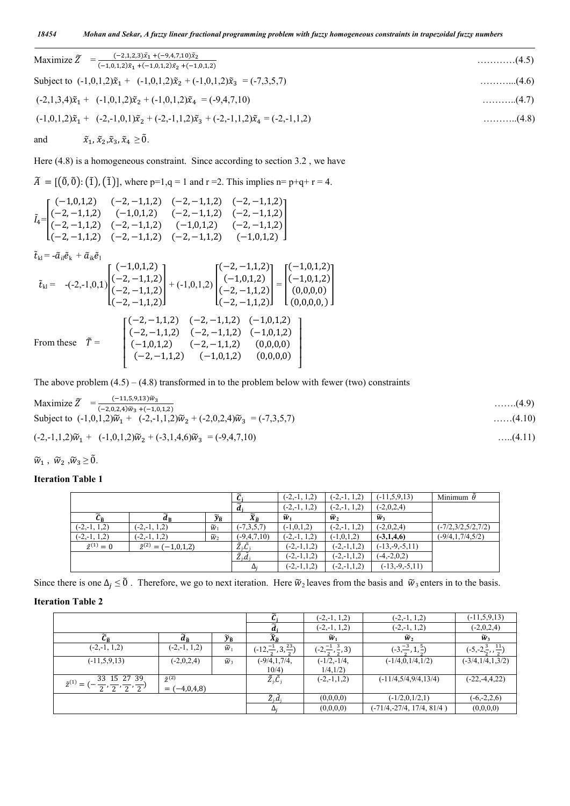| Maximize $\widetilde{Z} = \frac{(-2,1,2,3)\tilde{x}_1 + (-9,4,7,10)\tilde{x}_2}{(-1,0,1,2)\tilde{x}_1 + (-1,0,1,2)\tilde{x}_2 + (-1,0,1,2)}$ | $\ldots \ldots \ldots (4.5)$ |
|----------------------------------------------------------------------------------------------------------------------------------------------|------------------------------|
| Subject to $(-1,0,1,2)\tilde{x}_1 + (-1,0,1,2)\tilde{x}_2 + (-1,0,1,2)\tilde{x}_3 = (-7,3,5,7)$                                              | $\ldots \ldots \ldots (4.6)$ |
| $(-2,1,3,4)\tilde{x}_1 + (-1,0,1,2)\tilde{x}_2 + (-1,0,1,2)\tilde{x}_4 = (-9,4,7,10)$                                                        | $\ldots \ldots \ldots (4.7)$ |
| $(-1,0,1,2)\tilde{x}_1 + (-2,-1,0,1)\tilde{x}_2 + (-2,-1,1,2)\tilde{x}_3 + (-2,-1,1,2)\tilde{x}_4 = (-2,-1,1,2)$                             | $\ldots \ldots \ldots (4.8)$ |
| $\tilde{x}_1$ , $\tilde{x}_2$ , $\tilde{x}_3$ , $\tilde{x}_4 \geq \tilde{0}$ .<br>and                                                        |                              |

Here  $(4.8)$  is a homogeneous constraint. Since according to section 3.2, we have

 $\tilde{A} = [(\tilde{0}, \tilde{0}) : (\tilde{1}), (\tilde{1})]$ , where p=1,q = 1 and r =2. This implies n= p+q+ r = 4.

$$
\tilde{I}_{4} = \begin{bmatrix}\n(-1,0,1,2) & (-2,-1,1,2) & (-2,-1,1,2) & (-2,-1,1,2) \\
(-2,-1,1,2) & (-1,0,1,2) & (-2,-1,1,2) & (-2,-1,1,2) \\
(-2,-1,1,2) & (-2,-1,1,2) & (-1,0,1,2) & (-2,-1,1,2) \\
(-2,-1,1,2) & (-2,-1,1,2) & (-2,-1,1,2) & (-1,0,1,2)\n\end{bmatrix}
$$
\n
$$
\tilde{t}_{kl} = -\tilde{a}_{il}\tilde{e}_{k} + \tilde{a}_{ik}\tilde{e}_{l}
$$
\n
$$
\tilde{t}_{kl} = -(2,-1,0,1) \begin{bmatrix}\n(-1,0,1,2) \\
(-2,-1,1,2) \\
(-2,-1,1,2)\n\end{bmatrix} + (-1,0,1,2) \begin{bmatrix}\n(-2,-1,1,2) \\
(-1,0,1,2) \\
(-2,-1,1,2)\n\end{bmatrix} = \begin{bmatrix}\n(-1,0,1,2) \\
(-1,0,1,2) \\
(0,0,0,0)\n\end{bmatrix}
$$
\nFrom these  $\tilde{T} = \begin{bmatrix}\n(-2,-1,1,2) & (-2,-1,1,2) & (-1,0,1,2) \\
(-2,-1,1,2) & (-2,-1,1,2) & (-1,0,1,2) \\
(-2,-1,1,2) & (-2,-1,1,2) & (-1,0,1,2) \\
(-1,0,1,2) & (-2,-1,1,2) & (-1,0,1,2) \\
(-1,0,1,2) & (-2,-1,1,2) & (0,0,0,0)\n\end{bmatrix}$ 

The above problem  $(4.5) - (4.8)$  transformed in to the problem below with fewer (two) constraints

Maximize 
$$
\tilde{Z} = \frac{(-11,5,9,13)\tilde{w}_3}{(-2,0,2,4)\tilde{w}_3 + (-1,0,1,2)} \dots \dots (4.9)
$$
  
\nSubject to  $(-1,0,1,2)\tilde{w}_1 + (-2,-1,1,2)\tilde{w}_2 + (-2,0,2,4)\tilde{w}_3 = (-7,3,5,7) \dots \dots (4.10)$   
\n $(-2,-1,1,2)\tilde{w}_1 + (-1,0,1,2)\tilde{w}_2 + (-3,1,4,6)\tilde{w}_3 = (-9,4,7,10) \dots \dots (4.11)$ 

 $\widetilde{w}_1$  ,  $\widetilde{w}_2$  ,  $\widetilde{w}_3 \geq \widetilde{0}$  .

# **Iteration Table 1**

|                       |                                          |                                     | ъ.                         | $(-2,-1, 1, 2)$   | $(-2,-1, 1, 2)$   | $(-11, 5, 9, 13)$ | Minimum $\ddot{\theta}$ |
|-----------------------|------------------------------------------|-------------------------------------|----------------------------|-------------------|-------------------|-------------------|-------------------------|
|                       |                                          |                                     | $\tilde{\phantom{a}}$<br>a | $(-2,-1,1,2)$     | $(-2,-1, 1, 2)$   | $(-2,0,2,4)$      |                         |
| ίñ                    | $\widetilde{\phantom{m}}$<br>añ          | $\widetilde{\mathbf{y}}_{\text{B}}$ | $\widetilde{X}_B$          | $\widetilde{w}_1$ | $\widetilde{w}_2$ | $\widetilde{w}_3$ |                         |
| $(-2,-1, 1, 2)$       | $(-2,-1, 1, 2)$                          | $\widetilde{w}_1$                   | $(-7,3,5,7)$               | $(-1,0,1,2)$      | $(-2,-1,1,2)$     | $(-2,0,2,4)$      | $(-7/2,3/2,5/2,7/2)$    |
| $(-2,-1, 1, 2)$       | $(-2,-1, 1, 2)$                          | $\widetilde{w}_2$                   | $(-9, 4, 7, 10)$           | 1,2)<br>$(-2,-1,$ | $(-1,0,1,2)$      | $(-3,1,4,6)$      | $(-9/4, 1, 7/4, 5/2)$   |
| $\tilde{z}^{(1)} = 0$ | $\tilde{z}^{(2)}$<br>$(-1,0,1,2)$<br>$=$ |                                     | $\tilde{Z}_i \tilde{C}_i$  | $(-2,-1,1,2)$     | $(-2,-1,1,2)$     | $(-13,-9,-5,11)$  |                         |
|                       |                                          |                                     | $\tilde{Z}_i \tilde{d}_i$  | $(-2,-1,1,2)$     | $(-2,-1,1,2)$     | $(-4,-2,0,2)$     |                         |
|                       |                                          |                                     | Δ.                         | $(-2,-1,1,2)$     | $(-2,-1,1,2)$     | $(-13,-9,-5,11)$  |                         |

Since there is one  $\Delta_j \leq \tilde{0}$ . Therefore, we go to next iteration. Here  $\tilde{w}_2$  leaves from the basis and  $\tilde{w}_3$  enters in to the basis.

# **Iteration Table 2**

|                                                             |                       |                                                   |                                                 | $(-2,-1, 1, 2)$                   | $(-2,-1, 1, 2)$                                 | $(-11, 5, 9, 13)$                     |
|-------------------------------------------------------------|-----------------------|---------------------------------------------------|-------------------------------------------------|-----------------------------------|-------------------------------------------------|---------------------------------------|
|                                                             |                       |                                                   | $a_i$                                           | $(-2,-1, 1, 2)$                   | $(-2,-1, 1, 2)$                                 | $(-2,0,2,4)$                          |
| $\widetilde{ \mathcal{C}}_{\widetilde{\mathbf{R}}}$         | añ                    | $\widetilde{\mathbf{y}}_{\widetilde{\mathbf{B}}}$ | $\widetilde{X}_{\widetilde{R}}$                 | $\widetilde{w}_1$                 | $\widetilde{w}_2$                               | $\widetilde{w}_3$                     |
| $(-2,-1, 1, 2)$                                             | $(-2,-1, 1, 2)$       | $\widetilde{w}_1$                                 | $(-12, \frac{-1}{2}, 3, \frac{23}{2})$          | $(-2,\frac{-1}{2},\frac{3}{2},3)$ | $\left(-3, \frac{-3}{2}, 1, \frac{5}{2}\right)$ | $(-5, -2, \frac{3}{2}, \frac{11}{2})$ |
| $(-11,5,9,13)$                                              | $(-2,0,2,4)$          | $\widetilde{w}$                                   | $(-9/4, 1, 7/4,$                                | $(-1/2,-1/4,$                     | $(-1/4,0,1/4,1/2)$                              | $(-3/4, 1/4, 1, 3/2)$                 |
|                                                             |                       |                                                   | 10/4)                                           | 1/4, 1/2)                         |                                                 |                                       |
| 33 15 27 39<br>$\tilde{z}^{(1)}$                            | $\tilde{z}^{(2)}$     |                                                   | $\tilde{Z}_i \tilde{C}_j$                       | $(-2,-1,1,2)$                     | $(-11/4, 5/4, 9/4, 13/4)$                       | $(-22,-4,4,22)$                       |
| $=$<br>$\frac{1}{2}, \frac{1}{2}, \frac{1}{2}, \frac{1}{2}$ | $(-4,0,4,8)$<br>$= 1$ |                                                   |                                                 |                                   |                                                 |                                       |
|                                                             |                       |                                                   | $\tilde{Z}_{\mathsf{i}}.\tilde{d}_{\mathsf{i}}$ | (0,0,0,0)                         | $(-1/2,0,1/2,1)$                                | $(-6,-2,2,6)$                         |
|                                                             |                       |                                                   |                                                 | (0,0,0,0)                         | $(-71/4,-27/4, 17/4, 81/4)$                     | (0,0,0,0)                             |